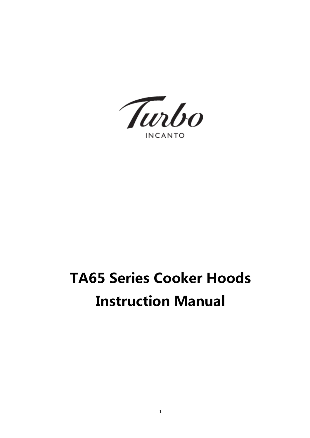Turbo

**INCANTO** 

# TA65 Series Cooker Hoods Instruction Manual

1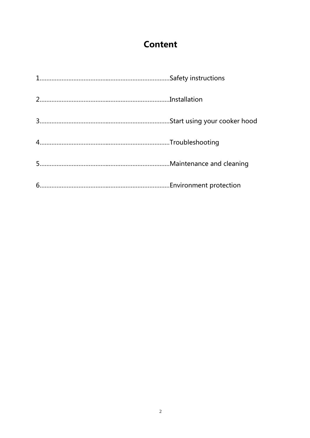## **Content**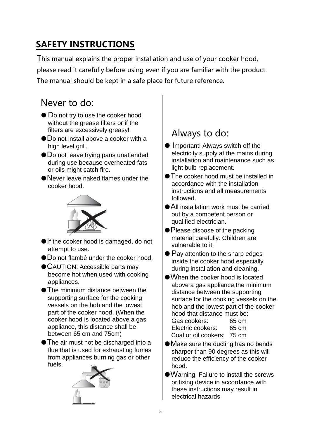# SAFETY INSTRUCTIONS

This manual explains the proper installation and use of your cooker hood,

please read it carefully before using even if you are familiar with the product. The manual should be kept in a safe place for future reference.

## Never to do:

- Do not try to use the cooker hood without the grease filters or if the filters are excessively greasy!
- $\bullet$  Do not install above a cooker with a high level grill.
- ●Do not leave frying pans unattended during use because overheated fats or oils might catch fire.
- ●Never leave naked flames under the cooker hood.



- If the cooker hood is damaged, do not attempt to use.
- ●Do not flambé under the cooker hood.
- CAUTION: Accessible parts may become hot when used with cooking appliances.
- The minimum distance between the supporting surface for the cooking vessels on the hob and the lowest part of the cooker hood. (When the cooker hood is located above a gas appliance, this distance shall be between 65 cm and 75cm)
- The air must not be discharged into a flue that is used for exhausting fumes from appliances burning gas or other fuels.



## Always to do:

- Important! Always switch off the electricity supply at the mains during installation and maintenance such as light bulb replacement.
- ●The cooker hood must be installed in accordance with the installation instructions and all measurements followed.
- ●All installation work must be carried out by a competent person or qualified electrician.
- Please dispose of the packing material carefully. Children are vulnerable to it.
- $\bullet$  Pay attention to the sharp edges inside the cooker hood especially during installation and cleaning.
- ●When the cooker hood is located above a gas appliance,the minimum distance between the supporting surface for the cooking vessels on the hob and the lowest part of the cooker hood that distance must be: Gas cookers: 65 cm Electric cookers: 65 cm Coal or oil cookers: 75 cm
- Make sure the ducting has no bends sharper than 90 degrees as this will reduce the efficiency of the cooker hood.
- ●Warning: Failure to install the screws or fixing device in accordance with these instructions may result in electrical hazards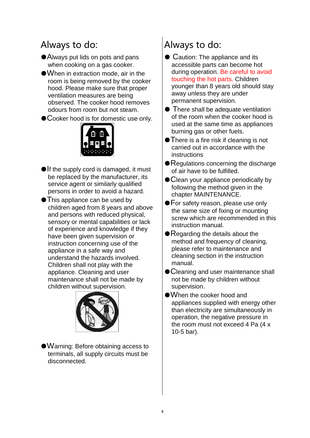## Always to do:

- ●Always put lids on pots and pans when cooking on a gas cooker.
- ●When in extraction mode, air in the room is being removed by the cooker hood. Please make sure that proper ventilation measures are being observed. The cooker hood removes odours from room but not steam.
- Cooker hood is for domestic use only.



- If the supply cord is damaged, it must be replaced by the manufacturer, its service agent or similarly qualified persons in order to avoid a hazard.
- ●This appliance can be used by children aged from 8 years and above and persons with reduced physical, sensory or mental capabilities or lack of experience and knowledge if they have been given supervision or instruction concerning use of the appliance in a safe way and understand the hazards involved. Children shall not play with the appliance. Cleaning and user maintenance shall not be made by children without supervision.



●Warning: Before obtaining access to terminals, all supply circuits must be disconnected.

# Always to do:

- Caution: The appliance and its accessible parts can become hot during operation. Be careful to avoid touching the hot parts. Children younger than 8 years old should stay away unless they are under permanent supervision.
- There shall be adequate ventilation of the room when the cooker hood is used at the same time as appliances burning gas or other fuels.
- There is a fire risk if cleaning is not carried out in accordance with the instructions
- Regulations concerning the discharge of air have to be fulfilled.
- Clean your appliance periodically by following the method given in the chapter MAINTENANCE.
- For safety reason, please use only the same size of fixing or mounting screw which are recommended in this instruction manual.
- $\bullet$  Regarding the details about the method and frequency of cleaning, please refer to maintenance and cleaning section in the instruction manual.
- Cleaning and user maintenance shall not be made by children without supervision.
- ●When the cooker hood and appliances supplied with energy other than electricity are simultaneously in operation, the negative pressure in the room must not exceed 4 Pa (4 x 10-5 bar).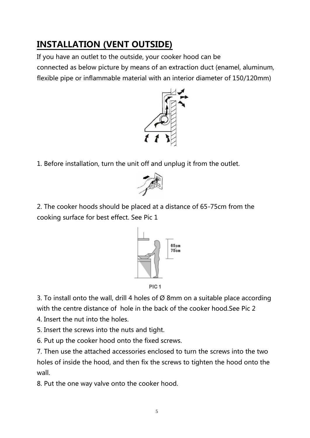# INSTALLATION (VENT OUTSIDE)

If you have an outlet to the outside, your cooker hood can be connected as below picture by means of an extraction duct (enamel, aluminum, flexible pipe or inflammable material with an interior diameter of 150/120mm)



1. Before installation, turn the unit off and unplug it from the outlet.



2. The cooker hoods should be placed at a distance of 65-75cm from the cooking surface for best effect. See Pic 1



PIC<sub>1</sub>

3. To install onto the wall, drill 4 holes of  $\varnothing$  8mm on a suitable place according with the centre distance of hole in the back of the cooker hood.See Pic 2

4. Insert the nut into the holes.

5. Insert the screws into the nuts and tight.

6. Put up the cooker hood onto the fixed screws.

7. Then use the attached accessories enclosed to turn the screws into the two holes of inside the hood, and then fix the screws to tighten the hood onto the wall.

8. Put the one way valve onto the cooker hood.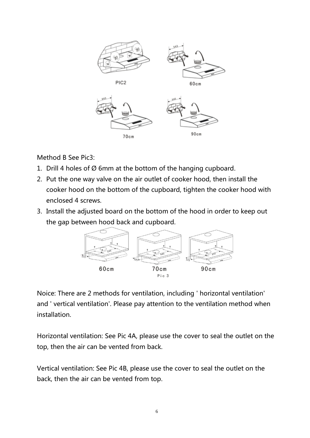

Method B See Pic3:

- 1. Drill 4 holes of Ø 6mm at the bottom of the hanging cupboard.
- 2. Put the one way valve on the air outlet of cooker hood, then install the cooker hood on the bottom of the cupboard, tighten the cooker hood with enclosed 4 screws.
- 3. Install the adjusted board on the bottom of the hood in order to keep out the gap between hood back and cupboard.



Noice: There are 2 methods for ventilation, including ' horizontal ventilation' and ' vertical ventilation'. Please pay attention to the ventilation method when installation.

Horizontal ventilation: See Pic 4A, please use the cover to seal the outlet on the top, then the air can be vented from back.

Vertical ventilation: See Pic 4B, please use the cover to seal the outlet on the back, then the air can be vented from top.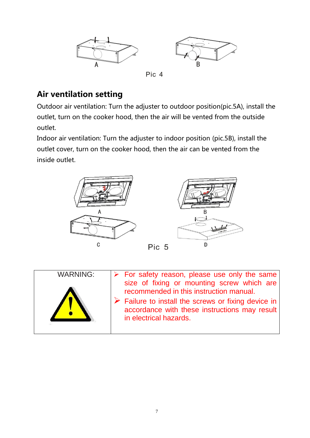

### Air ventilation setting

Outdoor air ventilation: Turn the adjuster to outdoor position(pic.5A), install the outlet, turn on the cooker hood, then the air will be vented from the outside outlet.

Indoor air ventilation: Turn the adjuster to indoor position (pic.5B), install the outlet cover, turn on the cooker hood, then the air can be vented from the inside outlet.



|--|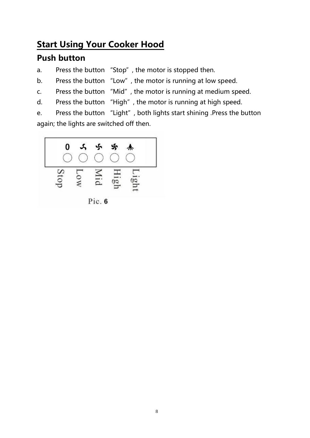## Start Using Your Cooker Hood

#### Push button

- a. Press the button "Stop", the motor is stopped then.
- b. Press the button "Low", the motor is running at low speed.
- c. Press the button "Mid", the motor is running at medium speed.
- d. Press the button "High", the motor is running at high speed.
- e. Press the button "Light", both lights start shining .Press the button again; the lights are switched off then.

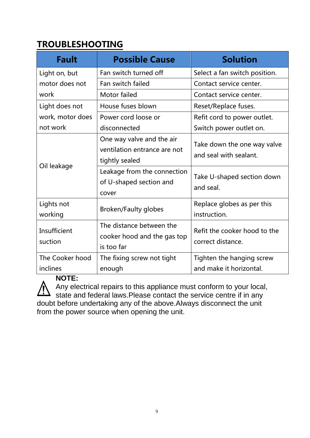## TROUBLESHOOTING

| <b>Fault</b>                | <b>Possible Cause</b>                                                       | <b>Solution</b>                                       |
|-----------------------------|-----------------------------------------------------------------------------|-------------------------------------------------------|
| Light on, but               | Fan switch turned off                                                       | Select a fan switch position.                         |
| motor does not              | Fan switch failed                                                           | Contact service center.                               |
| work                        | Motor failed                                                                | Contact service center.                               |
| Light does not              | House fuses blown                                                           | Reset/Replace fuses.                                  |
| work, motor does            | Power cord loose or                                                         | Refit cord to power outlet.                           |
| not work                    | disconnected                                                                | Switch power outlet on.                               |
| Oil leakage                 | One way valve and the air<br>ventilation entrance are not<br>tightly sealed | Take down the one way valve<br>and seal with sealant. |
|                             | Leakage from the connection<br>of U-shaped section and<br>cover             | Take U-shaped section down<br>and seal.               |
| Lights not<br>working       | <b>Broken/Faulty globes</b>                                                 | Replace globes as per this<br>instruction.            |
| Insufficient<br>suction     | The distance between the<br>cooker hood and the gas top<br>is too far       | Refit the cooker hood to the<br>correct distance.     |
| The Cooker hood<br>inclines | The fixing screw not tight<br>enough                                        | Tighten the hanging screw<br>and make it horizontal.  |

#### **NOTE:**

Any electrical repairs to this appliance must conform to your local, state and federal laws.Please contact the service centre if in any doubt before undertaking any of the above.Always disconnect the unit

from the power source when opening the unit.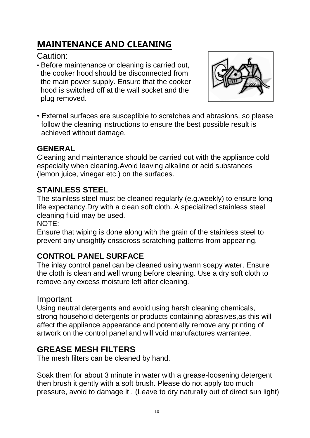# MAINTENANCE AND CLEANING

Caution:

• Before maintenance or cleaning is carried out, the cooker hood should be disconnected from the main power supply. Ensure that the cooker hood is switched off at the wall socket and the plug removed.



• External surfaces are susceptible to scratches and abrasions, so please follow the cleaning instructions to ensure the best possible result is achieved without damage.

#### **GENERAL**

Cleaning and maintenance should be carried out with the appliance cold especially when cleaning.Avoid leaving alkaline or acid substances (lemon juice, vinegar etc.) on the surfaces.

#### **STAINLESS STEEL**

The stainless steel must be cleaned regularly (e.g.weekly) to ensure long life expectancy.Dry with a clean soft cloth. A specialized stainless steel cleaning fluid may be used.

NOTE:

Ensure that wiping is done along with the grain of the stainless steel to prevent any unsightly crisscross scratching patterns from appearing.

#### **CONTROL PANEL SURFACE**

The inlay control panel can be cleaned using warm soapy water. Ensure the cloth is clean and well wrung before cleaning. Use a dry soft cloth to remove any excess moisture left after cleaning.

#### Important

Using neutral detergents and avoid using harsh cleaning chemicals, strong household detergents or products containing abrasives,as this will affect the appliance appearance and potentially remove any printing of artwork on the control panel and will void manufactures warrantee.

## **GREASE MESH FILTERS**

The mesh filters can be cleaned by hand.

Soak them for about 3 minute in water with a grease-loosening detergent then brush it gently with a soft brush. Please do not apply too much pressure, avoid to damage it . (Leave to dry naturally out of direct sun light)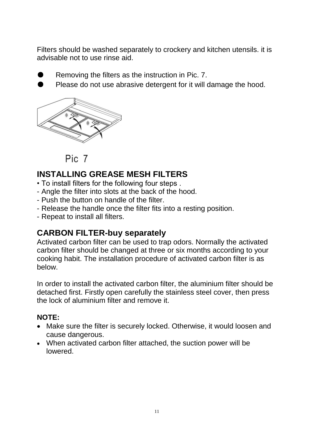Filters should be washed separately to crockery and kitchen utensils. it is advisable not to use rinse aid.

- Removing the filters as the instruction in Pic. 7.
- Please do not use abrasive detergent for it will damage the hood.



Pic 7

#### **INSTALLING GREASE MESH FILTERS**

- To install filters for the following four steps .
- Angle the filter into slots at the back of the hood.
- Push the button on handle of the filter.
- Release the handle once the filter fits into a resting position.
- Repeat to install all filters.

#### **CARBON FILTER-buy separately**

Activated carbon filter can be used to trap odors. Normally the activated carbon filter should be changed at three or six months according to your cooking habit. The installation procedure of activated carbon filter is as below.

In order to install the activated carbon filter, the aluminium filter should be detached first. Firstly open carefully the stainless steel cover, then press the lock of aluminium filter and remove it.

#### **NOTE:**

- Make sure the filter is securely locked. Otherwise, it would loosen and cause dangerous.
- When activated carbon filter attached, the suction power will be lowered.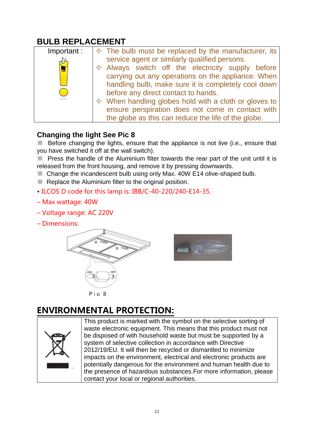## **BULB REPLACEMENT**

| Important: | $\Diamond$ The bulb must be replaced by the manufacturer, its  |
|------------|----------------------------------------------------------------|
|            | service agent or similarly qualified persons.                  |
|            | $\Diamond$ Always switch off the electricity supply before     |
|            | carrying out any operations on the appliance. When             |
|            | handling bulb, make sure it is completely cool down            |
|            | before any direct contact to hands.                            |
|            | $\Diamond$ When handling globes hold with a cloth or gloves to |
|            | ensure perspiration does not come in contact with              |
|            | the globe as this can reduce the life of the globe.            |

#### **Changing the light See Pic 8**

※ Before changing the lights, ensure that the appliance is not live (i.e., ensure that you have switched it off at the wall switch).

※ Press the handle of the Aluminium filter towards the rear part of the unit until it is released from the front housing, and remove it by pressing downwards.

※ Change the incandescent bulb using only Max. 40W E14 olive-shaped bulb.

※ Replace the Aluminium filter to the original position.

- ILCOS D code for this lamp is: IBB/C-40-220/240-E14-35.
- Max wattage: 40W
- Voltage range: AC 220V
- Dimensions:





# ENVIRONMENTAL PROTECTION:



This product is marked with the symbol on the selective sorting of waste electronic equipment. This means that this product must not be disposed of with household waste but must be supported by a system of selective collection in accordance with Directive 2012/19/EU. It will then be recycled or dismantled to minimize impacts on the environment, electrical and electronic products are potentially dangerous for the environment and human health due to the presence of hazardous substances.For more information, please contact your local or regional authorities.